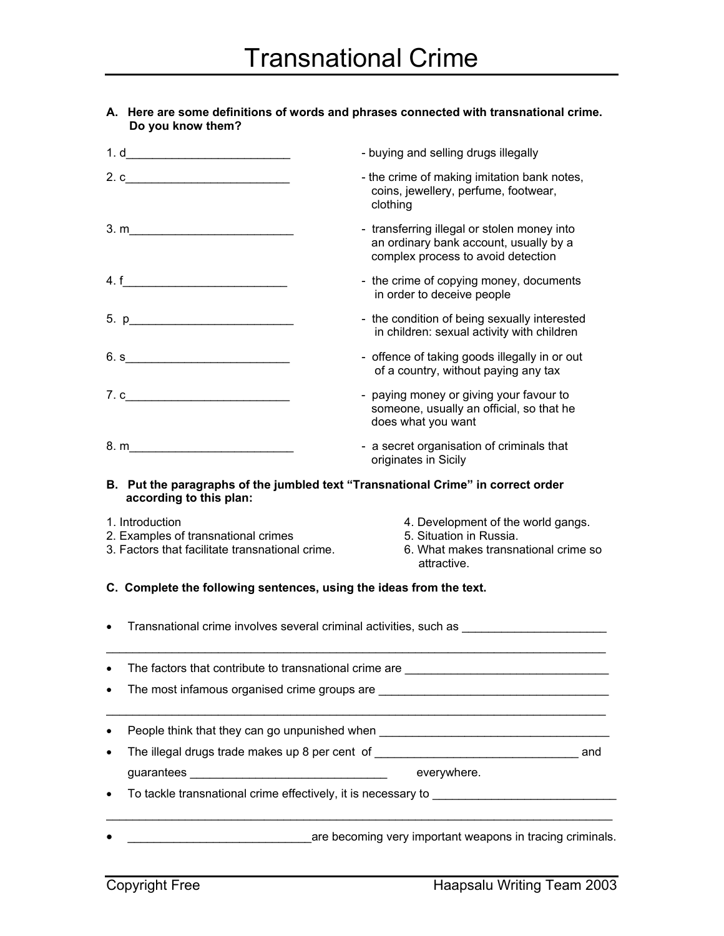**A. Here are some definitions of words and phrases connected with transnational crime. Do you know them?**

|                                                                                                                                                                                                                                                                                                                                             | - buying and selling drugs illegally                                                                                        |
|---------------------------------------------------------------------------------------------------------------------------------------------------------------------------------------------------------------------------------------------------------------------------------------------------------------------------------------------|-----------------------------------------------------------------------------------------------------------------------------|
| 2. c $\qquad \qquad$ $\qquad$ $\qquad$ $\qquad$ $\qquad$ $\qquad$ $\qquad$ $\qquad$ $\qquad$ $\qquad$ $\qquad$ $\qquad$ $\qquad$ $\qquad$ $\qquad$ $\qquad$ $\qquad$ $\qquad$ $\qquad$ $\qquad$ $\qquad$ $\qquad$ $\qquad$ $\qquad$ $\qquad$ $\qquad$ $\qquad$ $\qquad$ $\qquad$ $\qquad$ $\qquad$ $\qquad$ $\qquad$ $\qquad$ $\qquad$ $\q$ | - the crime of making imitation bank notes,<br>coins, jewellery, perfume, footwear,<br>clothing                             |
| 3. m                                                                                                                                                                                                                                                                                                                                        | - transferring illegal or stolen money into<br>an ordinary bank account, usually by a<br>complex process to avoid detection |
|                                                                                                                                                                                                                                                                                                                                             | - the crime of copying money, documents<br>in order to deceive people                                                       |
| 5. $p$                                                                                                                                                                                                                                                                                                                                      | - the condition of being sexually interested<br>in children: sexual activity with children                                  |
| 6. s                                                                                                                                                                                                                                                                                                                                        | - offence of taking goods illegally in or out<br>of a country, without paying any tax                                       |
| 7. c                                                                                                                                                                                                                                                                                                                                        | - paying money or giving your favour to<br>someone, usually an official, so that he<br>does what you want                   |
|                                                                                                                                                                                                                                                                                                                                             | - a secret organisation of criminals that<br>originates in Sicily                                                           |
| B. Put the paragraphs of the jumbled text "Transnational Crime" in correct order<br>according to this plan:                                                                                                                                                                                                                                 |                                                                                                                             |
| 1. Introduction<br>2. Examples of transnational crimes<br>3. Factors that facilitate transnational crime.                                                                                                                                                                                                                                   | 4. Development of the world gangs.<br>5. Situation in Russia.<br>6. What makes transnational crime so<br>attractive.        |
| C. Complete the following sentences, using the ideas from the text.                                                                                                                                                                                                                                                                         |                                                                                                                             |
| $\bullet$                                                                                                                                                                                                                                                                                                                                   | Transnational crime involves several criminal activities, such as ______________                                            |
| $\bullet$                                                                                                                                                                                                                                                                                                                                   | The factors that contribute to transnational crime are _________________________                                            |
| $\bullet$                                                                                                                                                                                                                                                                                                                                   |                                                                                                                             |
| $\bullet$                                                                                                                                                                                                                                                                                                                                   |                                                                                                                             |
| $\bullet$                                                                                                                                                                                                                                                                                                                                   |                                                                                                                             |
|                                                                                                                                                                                                                                                                                                                                             | everywhere.                                                                                                                 |
| $\bullet$                                                                                                                                                                                                                                                                                                                                   |                                                                                                                             |
|                                                                                                                                                                                                                                                                                                                                             | are becoming very important weapons in tracing criminals.                                                                   |
|                                                                                                                                                                                                                                                                                                                                             |                                                                                                                             |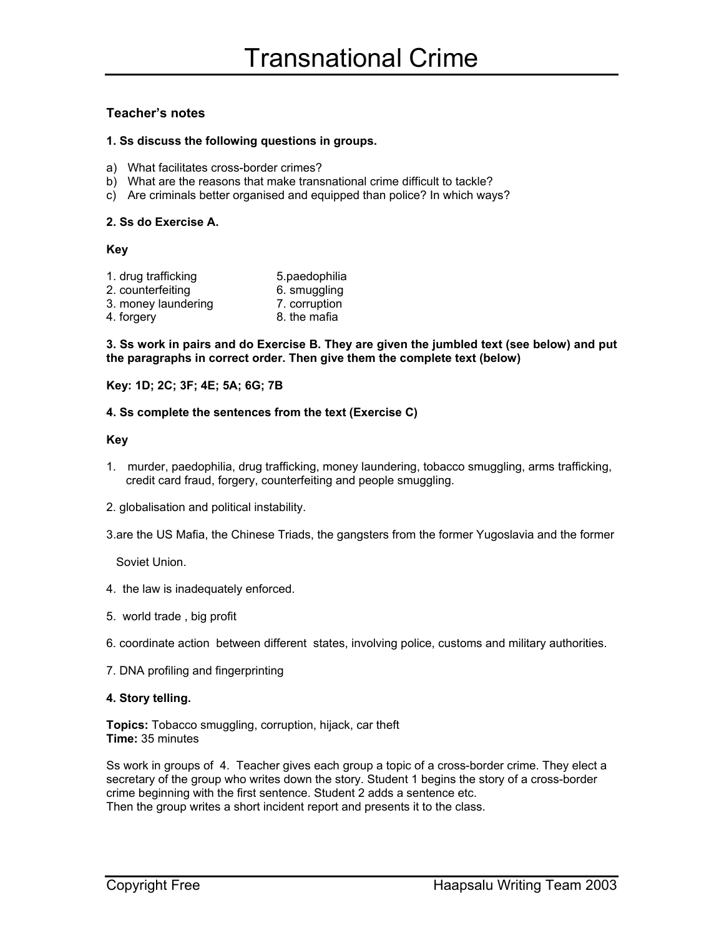## **Teacher's notes**

#### **1. Ss discuss the following questions in groups.**

- a) What facilitates cross-border crimes?
- b) What are the reasons that make transnational crime difficult to tackle?
- c) Are criminals better organised and equipped than police? In which ways?

#### **2. Ss do Exercise A.**

**Key**

| 1. drug trafficking | 5.paedophilia |
|---------------------|---------------|
| 2. counterfeiting   | 6. smuggling  |
| 3. money laundering | 7. corruption |
| 4. forgery          | 8. the mafia  |

**3. Ss work in pairs and do Exercise B. They are given the jumbled text (see below) and put the paragraphs in correct order. Then give them the complete text (below)**

#### **Key: 1D; 2C; 3F; 4E; 5A; 6G; 7B**

#### **4. Ss complete the sentences from the text (Exercise C)**

#### **Key**

- 1. murder, paedophilia, drug trafficking, money laundering, tobacco smuggling, arms trafficking, credit card fraud, forgery, counterfeiting and people smuggling.
- 2. globalisation and political instability.
- 3.are the US Mafia, the Chinese Triads, the gangsters from the former Yugoslavia and the former

Soviet Union.

- 4. the law is inadequately enforced.
- 5. world trade , big profit
- 6. coordinate action between different states, involving police, customs and military authorities.
- 7. DNA profiling and fingerprinting

#### **4. Story telling.**

**Topics:** Tobacco smuggling, corruption, hijack, car theft **Time:** 35 minutes

Ss work in groups of 4. Teacher gives each group a topic of a cross-border crime. They elect a secretary of the group who writes down the story. Student 1 begins the story of a cross-border crime beginning with the first sentence. Student 2 adds a sentence etc. Then the group writes a short incident report and presents it to the class.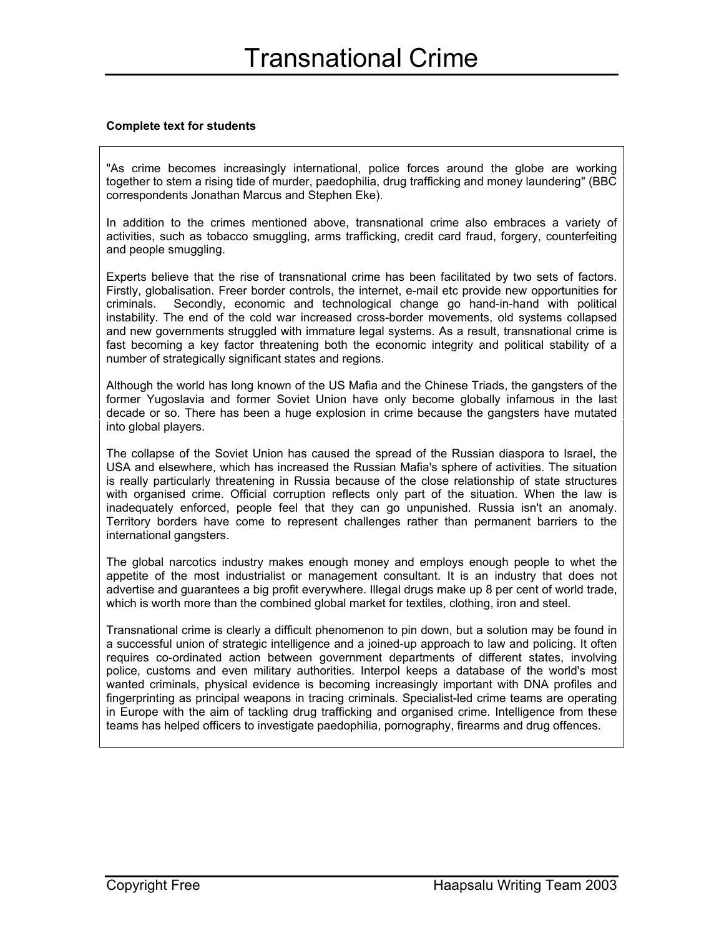### **Complete text for students**

"As crime becomes increasingly international, police forces around the globe are working together to stem a rising tide of murder, paedophilia, drug trafficking and money laundering" (BBC correspondents Jonathan Marcus and Stephen Eke).

In addition to the crimes mentioned above, transnational crime also embraces a variety of activities, such as tobacco smuggling, arms trafficking, credit card fraud, forgery, counterfeiting and people smuggling.

Experts believe that the rise of transnational crime has been facilitated by two sets of factors. Firstly, globalisation. Freer border controls, the internet, e-mail etc provide new opportunities for criminals. Secondly, economic and technological change go hand-in-hand with political instability. The end of the cold war increased cross-border movements, old systems collapsed and new governments struggled with immature legal systems. As a result, transnational crime is fast becoming a key factor threatening both the economic integrity and political stability of a number of strategically significant states and regions.

Although the world has long known of the US Mafia and the Chinese Triads, the gangsters of the former Yugoslavia and former Soviet Union have only become globally infamous in the last decade or so. There has been a huge explosion in crime because the gangsters have mutated into global players.

The collapse of the Soviet Union has caused the spread of the Russian diaspora to Israel, the USA and elsewhere, which has increased the Russian Mafia's sphere of activities. The situation is really particularly threatening in Russia because of the close relationship of state structures with organised crime. Official corruption reflects only part of the situation. When the law is inadequately enforced, people feel that they can go unpunished. Russia isn't an anomaly. Territory borders have come to represent challenges rather than permanent barriers to the international gangsters.

The global narcotics industry makes enough money and employs enough people to whet the appetite of the most industrialist or management consultant. It is an industry that does not advertise and guarantees a big profit everywhere. Illegal drugs make up 8 per cent of world trade, which is worth more than the combined global market for textiles, clothing, iron and steel.

Transnational crime is clearly a difficult phenomenon to pin down, but a solution may be found in a successful union of strategic intelligence and a joined-up approach to law and policing. It often requires co-ordinated action between government departments of different states, involving police, customs and even military authorities. Interpol keeps a database of the world's most wanted criminals, physical evidence is becoming increasingly important with DNA profiles and fingerprinting as principal weapons in tracing criminals. Specialist-led crime teams are operating in Europe with the aim of tackling drug trafficking and organised crime. Intelligence from these teams has helped officers to investigate paedophilia, pornography, firearms and drug offences.